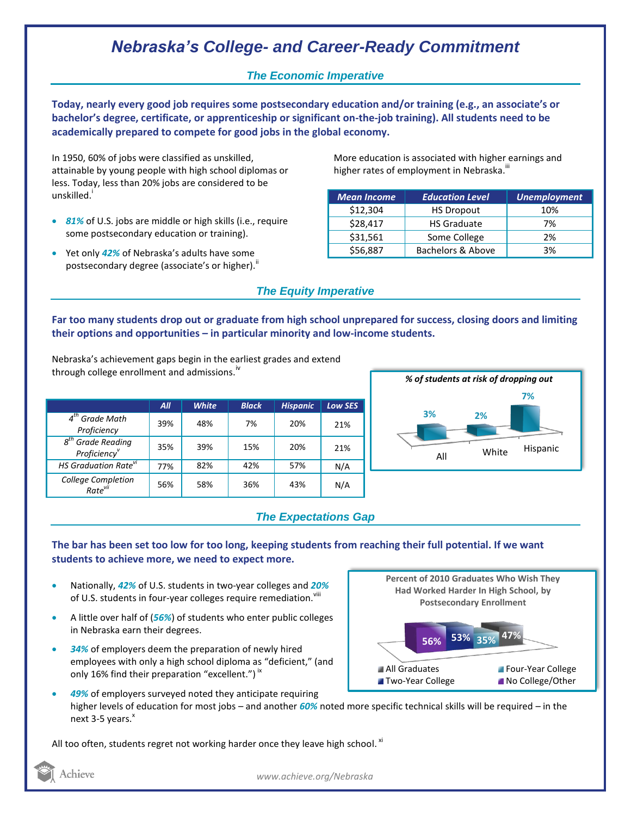# *Nebraska's College- and Career-Ready Commitment*

## *The Economic Imperative*

**Today, nearly every good job requires some postsecondary education and/or training (e.g., an associate's or bachelor's degree, certificate, or apprenticeship or significant on-the-job training). All students need to be academically prepared to compete for good jobs in the global economy.**

In 1950, 60% of jobs were classified as unskilled, attainable by young people with high school diplomas or less. Today, less than 20% jobs are considered to be unskilled.<sup>1</sup>

- *81%* of U.S. jobs are middle or high skills (i.e., require some postsecondary education or training).
- Yet only *42%* of Nebraska's adults have some postsecondary degree (associate's or higher).<sup>ii</sup>

More education is associated with higher earnings and higher rates of employment in Nebraska.<sup>""</sup>

| <b>Mean Income</b> | <b>Education Level</b> | <b>Unemployment</b> |
|--------------------|------------------------|---------------------|
| \$12,304           | <b>HS Dropout</b>      | 10%                 |
| \$28,417           | <b>HS Graduate</b>     | 7%                  |
| \$31,561           | Some College           | 2%                  |
| \$56,887           | Bachelors & Above      | 3%                  |

## *The Equity Imperative*

**Far too many students drop out or graduate from high school unprepared for success, closing doors and limiting their options and opportunities – in particular minority and low-income students.** 

Nebraska's achievement gaps begin in the earliest grades and extend through college enrollment and admissions. $N$ 

|                                           | All | <b>White</b> | <b>Black</b> | <b>Hispanic</b> | <b>Low SES</b> |
|-------------------------------------------|-----|--------------|--------------|-----------------|----------------|
| $4th$ Grade Math<br>Proficiency           | 39% | 48%          | 7%           | 20%             | 21%            |
| $8th$ Grade Reading<br>Proficiency        | 35% | 39%          | 15%          | 20%             | 21%            |
| HS Graduation Rate <sup>vi</sup>          | 77% | 82%          | 42%          | 57%             | N/A            |
| College Completion<br>Rate <sup>vii</sup> | 56% | 58%          | 36%          | 43%             | N/A            |



### *The Expectations Gap*

### **The bar has been set too low for too long, keeping students from reaching their full potential. If we want students to achieve more, we need to expect more.**

- Nationally, *42%* of U.S. students in two-year colleges and *20%* of U.S. students in four-year colleges require remediation. VIII
- A little over half of (*56%*) of students who enter public colleges in Nebraska earn their degrees.
- *34%* of employers deem the preparation of newly hired employees with only a high school diploma as "deficient," (and only 16% find their preparation "excellent.")  $\dot{ }$   $\,$



 *49%* of employers surveyed noted they anticipate requiring higher levels of education for most jobs – and another *60%* noted more specific technical skills will be required – in the next 3-5 years. $x^*$ 

All too often, students regret not working harder once they leave high school.  $^{\text{xi}}$ 

Achieve

*www.achieve.org/Nebraska*